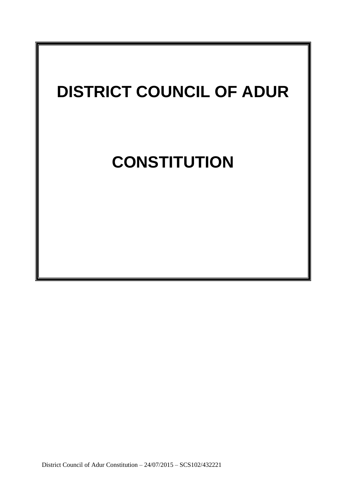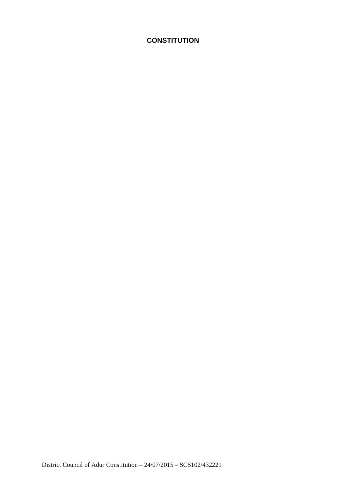# **CONSTITUTION**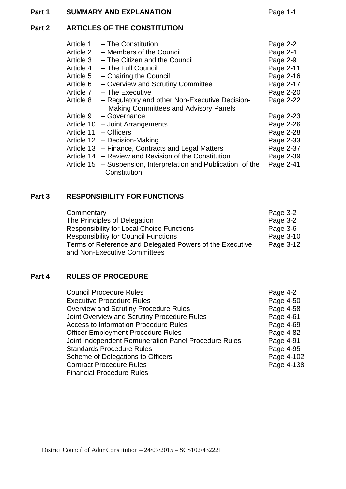# **Part 1 SUMMARY AND EXPLANATION** Page 1-1

# **Part 2 ARTICLES OF THE CONSTITUTION**

| Article 1  | - The Constitution                                             | Page 2-2  |
|------------|----------------------------------------------------------------|-----------|
| Article 2  | - Members of the Council                                       | Page 2-4  |
| Article 3  | - The Citizen and the Council                                  | Page 2-9  |
| Article 4  | - The Full Council                                             | Page 2-11 |
| Article 5  | - Chairing the Council                                         | Page 2-16 |
| Article 6  | - Overview and Scrutiny Committee                              | Page 2-17 |
| Article 7  | - The Executive                                                | Page 2-20 |
| Article 8  | - Regulatory and other Non-Executive Decision-                 | Page 2-22 |
|            | <b>Making Committees and Advisory Panels</b>                   |           |
| Article 9  | - Governance                                                   | Page 2-23 |
| Article 10 | - Joint Arrangements                                           | Page 2-26 |
| Article 11 | $-$ Officers                                                   | Page 2-28 |
| Article 12 | - Decision-Making                                              | Page 2-33 |
| Article 13 | - Finance, Contracts and Legal Matters                         | Page 2-37 |
| Article 14 | - Review and Revision of the Constitution                      | Page 2-39 |
|            | Article 15 – Suspension, Interpretation and Publication of the | Page 2-41 |
|            | Constitution                                                   |           |

# **Part 3 RESPONSIBILITY FOR FUNCTIONS**

| Commentary                                               | Page 3-2  |
|----------------------------------------------------------|-----------|
| The Principles of Delegation                             | Page 3-2  |
| <b>Responsibility for Local Choice Functions</b>         | Page 3-6  |
| <b>Responsibility for Council Functions</b>              | Page 3-10 |
| Terms of Reference and Delegated Powers of the Executive | Page 3-12 |
| and Non-Executive Committees                             |           |

#### **Part 4 RULES OF PROCEDURE**

| <b>Council Procedure Rules</b>                       | Page 4-2   |
|------------------------------------------------------|------------|
| <b>Executive Procedure Rules</b>                     | Page 4-50  |
| <b>Overview and Scrutiny Procedure Rules</b>         | Page 4-58  |
| Joint Overview and Scrutiny Procedure Rules          | Page 4-61  |
| <b>Access to Information Procedure Rules</b>         | Page 4-69  |
| <b>Officer Employment Procedure Rules</b>            | Page 4-82  |
| Joint Independent Remuneration Panel Procedure Rules | Page 4-91  |
| <b>Standards Procedure Rules</b>                     | Page 4-95  |
| Scheme of Delegations to Officers                    | Page 4-102 |
| <b>Contract Procedure Rules</b>                      | Page 4-138 |
| <b>Financial Procedure Rules</b>                     |            |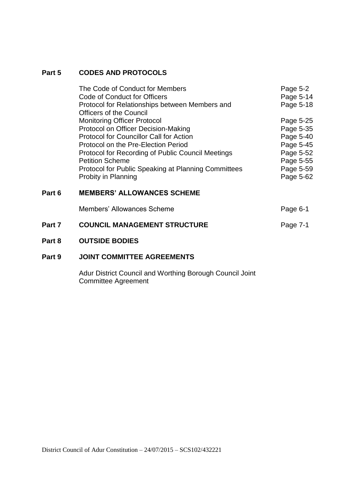## **Part 5 CODES AND PROTOCOLS**

| The Code of Conduct for Members                     | Page 5-2  |
|-----------------------------------------------------|-----------|
| Code of Conduct for Officers                        | Page 5-14 |
| Protocol for Relationships between Members and      | Page 5-18 |
| <b>Officers of the Council</b>                      |           |
| <b>Monitoring Officer Protocol</b>                  | Page 5-25 |
| Protocol on Officer Decision-Making                 | Page 5-35 |
| <b>Protocol for Councillor Call for Action</b>      | Page 5-40 |
| Protocol on the Pre-Election Period                 | Page 5-45 |
| Protocol for Recording of Public Council Meetings   | Page 5-52 |
| <b>Petition Scheme</b>                              | Page 5-55 |
| Protocol for Public Speaking at Planning Committees | Page 5-59 |
| Probity in Planning                                 | Page 5-62 |
|                                                     |           |
| <b>MEMBERS' ALLOWANCES SCHEME</b>                   |           |
|                                                     |           |

|        | Members' Allowances Scheme          | Page 6-1 |
|--------|-------------------------------------|----------|
| Part 7 | <b>COUNCIL MANAGEMENT STRUCTURE</b> | Page 7-1 |

## **Part 8 OUTSIDE BODIES**

**Part 6** 

# **Part 9 JOINT COMMITTEE AGREEMENTS**

Adur District Council and Worthing Borough Council Joint Committee Agreement